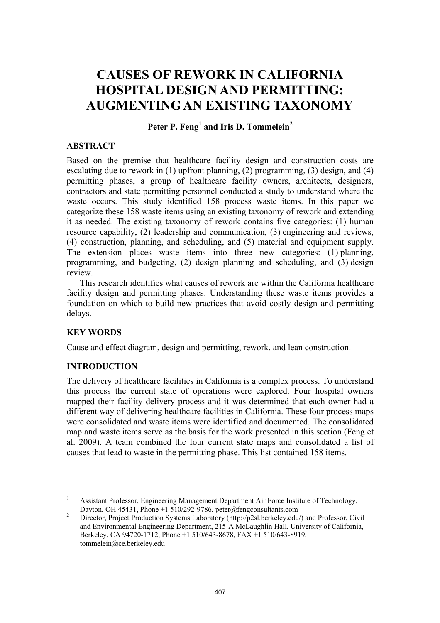# **CAUSES OF REWORK IN CALIFORNIA HOSPITAL DESIGN AND PERMITTING: AUGMENTING AN EXISTING TAXONOMY**

# Peter P. Feng<sup>1</sup> and Iris D. Tommelein<sup>2</sup>

#### **ABSTRACT**

Based on the premise that healthcare facility design and construction costs are escalating due to rework in (1) upfront planning, (2) programming, (3) design, and (4) permitting phases, a group of healthcare facility owners, architects, designers, contractors and state permitting personnel conducted a study to understand where the waste occurs. This study identified 158 process waste items. In this paper we categorize these 158 waste items using an existing taxonomy of rework and extending it as needed. The existing taxonomy of rework contains five categories: (1) human resource capability, (2) leadership and communication, (3) engineering and reviews, (4) construction, planning, and scheduling, and (5) material and equipment supply. The extension places waste items into three new categories: (1) planning, programming, and budgeting, (2) design planning and scheduling, and (3) design review.

This research identifies what causes of rework are within the California healthcare facility design and permitting phases. Understanding these waste items provides a foundation on which to build new practices that avoid costly design and permitting delays.

# **KEY WORDS**

Cause and effect diagram, design and permitting, rework, and lean construction.

#### **INTRODUCTION**

The delivery of healthcare facilities in California is a complex process. To understand this process the current state of operations were explored. Four hospital owners mapped their facility delivery process and it was determined that each owner had a different way of delivering healthcare facilities in California. These four process maps were consolidated and waste items were identified and documented. The consolidated map and waste items serve as the basis for the work presented in this section (Feng et al. 2009). A team combined the four current state maps and consolidated a list of causes that lead to waste in the permitting phase. This list contained 158 items.

<sup>|&</sup>lt;br>|<br>| Assistant Professor, Engineering Management Department Air Force Institute of Technology, Dayton, OH 45431, Phone +1 510/292-9786, peter@fengconsultants.com

Director, Project Production Systems Laboratory (http://p2sl.berkeley.edu/) and Professor, Civil and Environmental Engineering Department, 215-A McLaughlin Hall, University of California, Berkeley, CA 94720-1712, Phone +1 510/643-8678, FAX +1 510/643-8919, tommelein@ce.berkeley.edu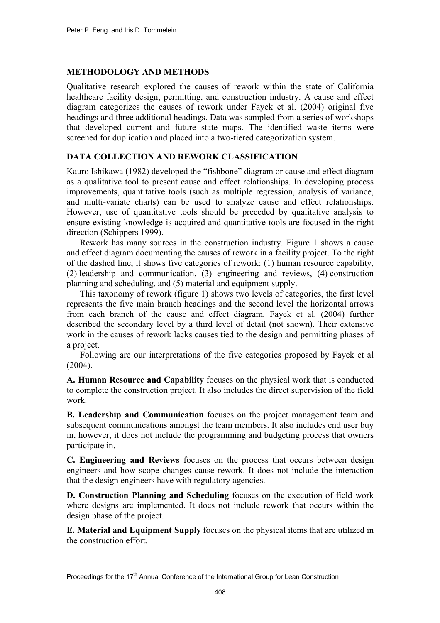#### **METHODOLOGY AND METHODS**

Qualitative research explored the causes of rework within the state of California healthcare facility design, permitting, and construction industry. A cause and effect diagram categorizes the causes of rework under Fayek et al. (2004) original five headings and three additional headings. Data was sampled from a series of workshops that developed current and future state maps. The identified waste items were screened for duplication and placed into a two-tiered categorization system.

# **DATA COLLECTION AND REWORK CLASSIFICATION**

Kauro Ishikawa (1982) developed the "fishbone" diagram or cause and effect diagram as a qualitative tool to present cause and effect relationships. In developing process improvements, quantitative tools (such as multiple regression, analysis of variance, and multi-variate charts) can be used to analyze cause and effect relationships. However, use of quantitative tools should be preceded by qualitative analysis to ensure existing knowledge is acquired and quantitative tools are focused in the right direction (Schippers 1999).

Rework has many sources in the construction industry. Figure 1 shows a cause and effect diagram documenting the causes of rework in a facility project. To the right of the dashed line, it shows five categories of rework: (1) human resource capability, (2) leadership and communication, (3) engineering and reviews, (4) construction planning and scheduling, and (5) material and equipment supply.

This taxonomy of rework (figure 1) shows two levels of categories, the first level represents the five main branch headings and the second level the horizontal arrows from each branch of the cause and effect diagram. Fayek et al. (2004) further described the secondary level by a third level of detail (not shown). Their extensive work in the causes of rework lacks causes tied to the design and permitting phases of a project.

Following are our interpretations of the five categories proposed by Fayek et al  $(2004)$ .

**A. Human Resource and Capability** focuses on the physical work that is conducted to complete the construction project. It also includes the direct supervision of the field work.

**B. Leadership and Communication** focuses on the project management team and subsequent communications amongst the team members. It also includes end user buy in, however, it does not include the programming and budgeting process that owners participate in.

**C. Engineering and Reviews** focuses on the process that occurs between design engineers and how scope changes cause rework. It does not include the interaction that the design engineers have with regulatory agencies.

**D. Construction Planning and Scheduling** focuses on the execution of field work where designs are implemented. It does not include rework that occurs within the design phase of the project.

**E. Material and Equipment Supply** focuses on the physical items that are utilized in the construction effort.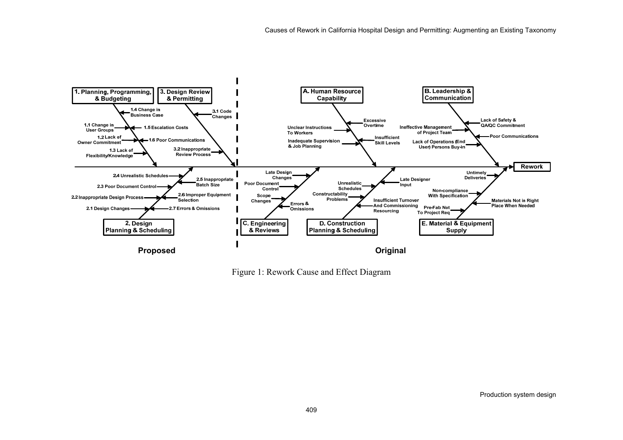

Figure 1: Rework Cause and Effect Diagram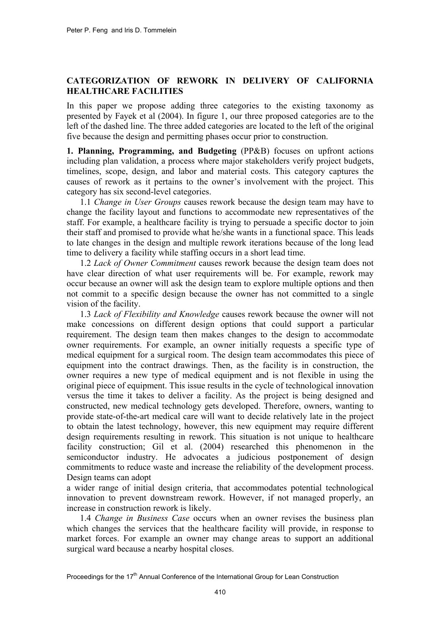# **CATEGORIZATION OF REWORK IN DELIVERY OF CALIFORNIA HEALTHCARE FACILITIES**

In this paper we propose adding three categories to the existing taxonomy as presented by Fayek et al (2004). In figure 1, our three proposed categories are to the left of the dashed line. The three added categories are located to the left of the original five because the design and permitting phases occur prior to construction.

**1. Planning, Programming, and Budgeting** (PP&B) focuses on upfront actions including plan validation, a process where major stakeholders verify project budgets, timelines, scope, design, and labor and material costs. This category captures the causes of rework as it pertains to the owner's involvement with the project. This category has six second-level categories.

1.1 *Change in User Groups* causes rework because the design team may have to change the facility layout and functions to accommodate new representatives of the staff. For example, a healthcare facility is trying to persuade a specific doctor to join their staff and promised to provide what he/she wants in a functional space. This leads to late changes in the design and multiple rework iterations because of the long lead time to delivery a facility while staffing occurs in a short lead time.

1.2 *Lack of Owner Commitment* causes rework because the design team does not have clear direction of what user requirements will be. For example, rework may occur because an owner will ask the design team to explore multiple options and then not commit to a specific design because the owner has not committed to a single vision of the facility.

1.3 *Lack of Flexibility and Knowledge* causes rework because the owner will not make concessions on different design options that could support a particular requirement. The design team then makes changes to the design to accommodate owner requirements. For example, an owner initially requests a specific type of medical equipment for a surgical room. The design team accommodates this piece of equipment into the contract drawings. Then, as the facility is in construction, the owner requires a new type of medical equipment and is not flexible in using the original piece of equipment. This issue results in the cycle of technological innovation versus the time it takes to deliver a facility. As the project is being designed and constructed, new medical technology gets developed. Therefore, owners, wanting to provide state-of-the-art medical care will want to decide relatively late in the project to obtain the latest technology, however, this new equipment may require different design requirements resulting in rework. This situation is not unique to healthcare facility construction; Gil et al. (2004) researched this phenomenon in the semiconductor industry. He advocates a judicious postponement of design commitments to reduce waste and increase the reliability of the development process. Design teams can adopt

a wider range of initial design criteria, that accommodates potential technological innovation to prevent downstream rework. However, if not managed properly, an increase in construction rework is likely.

1.4 *Change in Business Case* occurs when an owner revises the business plan which changes the services that the healthcare facility will provide, in response to market forces. For example an owner may change areas to support an additional surgical ward because a nearby hospital closes.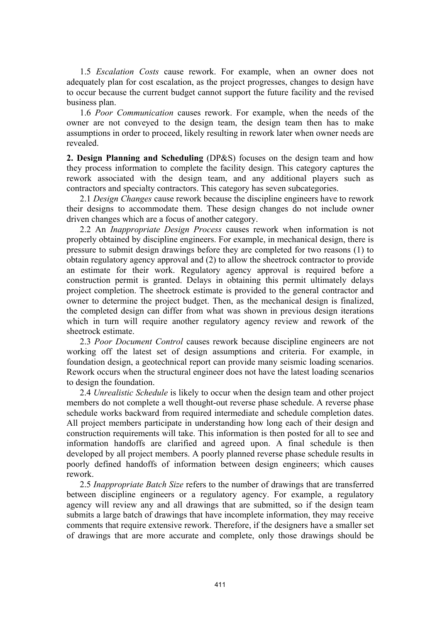1.5 *Escalation Costs* cause rework. For example, when an owner does not adequately plan for cost escalation, as the project progresses, changes to design have to occur because the current budget cannot support the future facility and the revised business plan.

1.6 *Poor Communication* causes rework. For example, when the needs of the owner are not conveyed to the design team, the design team then has to make assumptions in order to proceed, likely resulting in rework later when owner needs are revealed.

**2. Design Planning and Scheduling** (DP&S) focuses on the design team and how they process information to complete the facility design. This category captures the rework associated with the design team, and any additional players such as contractors and specialty contractors. This category has seven subcategories.

2.1 *Design Changes* cause rework because the discipline engineers have to rework their designs to accommodate them. These design changes do not include owner driven changes which are a focus of another category.

2.2 An *Inappropriate Design Process* causes rework when information is not properly obtained by discipline engineers. For example, in mechanical design, there is pressure to submit design drawings before they are completed for two reasons (1) to obtain regulatory agency approval and (2) to allow the sheetrock contractor to provide an estimate for their work. Regulatory agency approval is required before a construction permit is granted. Delays in obtaining this permit ultimately delays project completion. The sheetrock estimate is provided to the general contractor and owner to determine the project budget. Then, as the mechanical design is finalized, the completed design can differ from what was shown in previous design iterations which in turn will require another regulatory agency review and rework of the sheetrock estimate.

2.3 *Poor Document Control* causes rework because discipline engineers are not working off the latest set of design assumptions and criteria. For example, in foundation design, a geotechnical report can provide many seismic loading scenarios. Rework occurs when the structural engineer does not have the latest loading scenarios to design the foundation.

2.4 *Unrealistic Schedule* is likely to occur when the design team and other project members do not complete a well thought-out reverse phase schedule. A reverse phase schedule works backward from required intermediate and schedule completion dates. All project members participate in understanding how long each of their design and construction requirements will take. This information is then posted for all to see and information handoffs are clarified and agreed upon. A final schedule is then developed by all project members. A poorly planned reverse phase schedule results in poorly defined handoffs of information between design engineers; which causes rework.

2.5 *Inappropriate Batch Size* refers to the number of drawings that are transferred between discipline engineers or a regulatory agency. For example, a regulatory agency will review any and all drawings that are submitted, so if the design team submits a large batch of drawings that have incomplete information, they may receive comments that require extensive rework. Therefore, if the designers have a smaller set of drawings that are more accurate and complete, only those drawings should be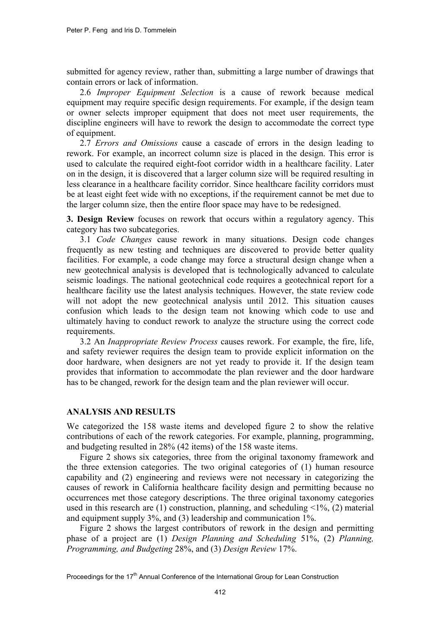submitted for agency review, rather than, submitting a large number of drawings that contain errors or lack of information.

2.6 *Improper Equipment Selection* is a cause of rework because medical equipment may require specific design requirements. For example, if the design team or owner selects improper equipment that does not meet user requirements, the discipline engineers will have to rework the design to accommodate the correct type of equipment.

2.7 *Errors and Omissions* cause a cascade of errors in the design leading to rework. For example, an incorrect column size is placed in the design. This error is used to calculate the required eight-foot corridor width in a healthcare facility. Later on in the design, it is discovered that a larger column size will be required resulting in less clearance in a healthcare facility corridor. Since healthcare facility corridors must be at least eight feet wide with no exceptions, if the requirement cannot be met due to the larger column size, then the entire floor space may have to be redesigned.

**3. Design Review** focuses on rework that occurs within a regulatory agency. This category has two subcategories.

3.1 *Code Changes* cause rework in many situations. Design code changes frequently as new testing and techniques are discovered to provide better quality facilities. For example, a code change may force a structural design change when a new geotechnical analysis is developed that is technologically advanced to calculate seismic loadings. The national geotechnical code requires a geotechnical report for a healthcare facility use the latest analysis techniques. However, the state review code will not adopt the new geotechnical analysis until 2012. This situation causes confusion which leads to the design team not knowing which code to use and ultimately having to conduct rework to analyze the structure using the correct code requirements.

3.2 An *Inappropriate Review Process* causes rework. For example, the fire, life, and safety reviewer requires the design team to provide explicit information on the door hardware, when designers are not yet ready to provide it. If the design team provides that information to accommodate the plan reviewer and the door hardware has to be changed, rework for the design team and the plan reviewer will occur.

#### **ANALYSIS AND RESULTS**

We categorized the 158 waste items and developed figure 2 to show the relative contributions of each of the rework categories. For example, planning, programming, and budgeting resulted in 28% (42 items) of the 158 waste items.

Figure 2 shows six categories, three from the original taxonomy framework and the three extension categories. The two original categories of (1) human resource capability and (2) engineering and reviews were not necessary in categorizing the causes of rework in California healthcare facility design and permitting because no occurrences met those category descriptions. The three original taxonomy categories used in this research are (1) construction, planning, and scheduling  $\leq 1\%$ , (2) material and equipment supply 3%, and (3) leadership and communication 1%.

Figure 2 shows the largest contributors of rework in the design and permitting phase of a project are (1) *Design Planning and Scheduling* 51%, (2) *Planning, Programming, and Budgeting* 28%, and (3) *Design Review* 17%.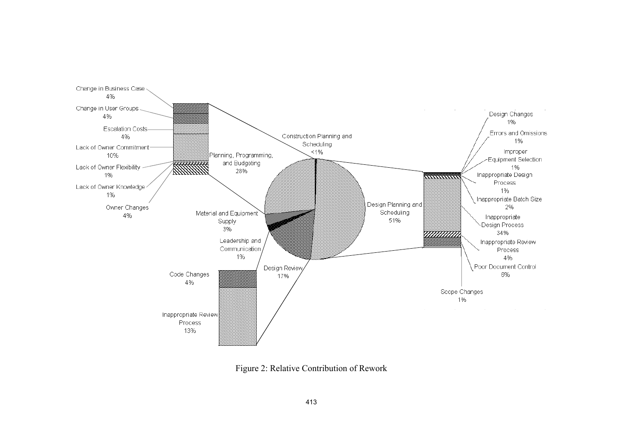

Figure 2: Relative Contribution of Rework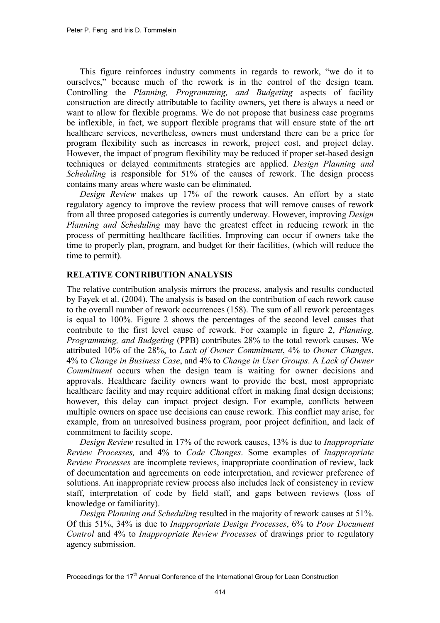This figure reinforces industry comments in regards to rework, "we do it to ourselves," because much of the rework is in the control of the design team. Controlling the *Planning, Programming, and Budgeting* aspects of facility construction are directly attributable to facility owners, yet there is always a need or want to allow for flexible programs. We do not propose that business case programs be inflexible, in fact, we support flexible programs that will ensure state of the art healthcare services, nevertheless, owners must understand there can be a price for program flexibility such as increases in rework, project cost, and project delay. However, the impact of program flexibility may be reduced if proper set-based design techniques or delayed commitments strategies are applied. *Design Planning and Scheduling* is responsible for 51% of the causes of rework. The design process contains many areas where waste can be eliminated.

*Design Review* makes up 17% of the rework causes. An effort by a state regulatory agency to improve the review process that will remove causes of rework from all three proposed categories is currently underway. However, improving *Design Planning and Scheduling* may have the greatest effect in reducing rework in the process of permitting healthcare facilities. Improving can occur if owners take the time to properly plan, program, and budget for their facilities, (which will reduce the time to permit).

# **RELATIVE CONTRIBUTION ANALYSIS**

The relative contribution analysis mirrors the process, analysis and results conducted by Fayek et al. (2004). The analysis is based on the contribution of each rework cause to the overall number of rework occurrences (158). The sum of all rework percentages is equal to 100%. Figure 2 shows the percentages of the second level causes that contribute to the first level cause of rework. For example in figure 2, *Planning, Programming, and Budgeting* (PPB) contributes 28% to the total rework causes. We attributed 10% of the 28%, to *Lack of Owner Commitment*, 4% to *Owner Changes*, 4% to *Change in Business Case*, and 4% to *Change in User Groups*. A *Lack of Owner Commitment* occurs when the design team is waiting for owner decisions and approvals. Healthcare facility owners want to provide the best, most appropriate healthcare facility and may require additional effort in making final design decisions; however, this delay can impact project design. For example, conflicts between multiple owners on space use decisions can cause rework. This conflict may arise, for example, from an unresolved business program, poor project definition, and lack of commitment to facility scope.

*Design Review* resulted in 17% of the rework causes, 13% is due to *Inappropriate Review Processes,* and 4% to *Code Changes*. Some examples of *Inappropriate Review Processes* are incomplete reviews, inappropriate coordination of review, lack of documentation and agreements on code interpretation, and reviewer preference of solutions. An inappropriate review process also includes lack of consistency in review staff, interpretation of code by field staff, and gaps between reviews (loss of knowledge or familiarity).

*Design Planning and Scheduling* resulted in the majority of rework causes at 51%. Of this 51%, 34% is due to *Inappropriate Design Processes*, 6% to *Poor Document Control* and 4% to *Inappropriate Review Processes* of drawings prior to regulatory agency submission.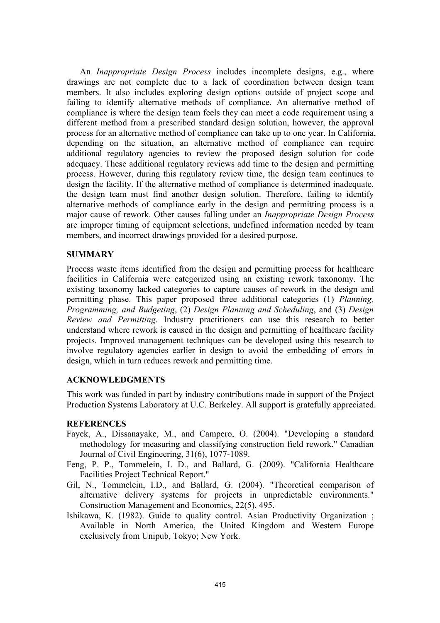An *Inappropriate Design Process* includes incomplete designs, e.g., where drawings are not complete due to a lack of coordination between design team members. It also includes exploring design options outside of project scope and failing to identify alternative methods of compliance. An alternative method of compliance is where the design team feels they can meet a code requirement using a different method from a prescribed standard design solution, however, the approval process for an alternative method of compliance can take up to one year. In California, depending on the situation, an alternative method of compliance can require additional regulatory agencies to review the proposed design solution for code adequacy. These additional regulatory reviews add time to the design and permitting process. However, during this regulatory review time, the design team continues to design the facility. If the alternative method of compliance is determined inadequate, the design team must find another design solution. Therefore, failing to identify alternative methods of compliance early in the design and permitting process is a major cause of rework. Other causes falling under an *Inappropriate Design Process* are improper timing of equipment selections, undefined information needed by team members, and incorrect drawings provided for a desired purpose.

#### **SUMMARY**

Process waste items identified from the design and permitting process for healthcare facilities in California were categorized using an existing rework taxonomy. The existing taxonomy lacked categories to capture causes of rework in the design and permitting phase. This paper proposed three additional categories (1) *Planning, Programming, and Budgeting*, (2) *Design Planning and Scheduling*, and (3) *Design Review and Permitting*. Industry practitioners can use this research to better understand where rework is caused in the design and permitting of healthcare facility projects. Improved management techniques can be developed using this research to involve regulatory agencies earlier in design to avoid the embedding of errors in design, which in turn reduces rework and permitting time.

### **ACKNOWLEDGMENTS**

This work was funded in part by industry contributions made in support of the Project Production Systems Laboratory at U.C. Berkeley. All support is gratefully appreciated.

#### **REFERENCES**

- Fayek, A., Dissanayake, M., and Campero, O. (2004). "Developing a standard methodology for measuring and classifying construction field rework." Canadian Journal of Civil Engineering, 31(6), 1077-1089.
- Feng, P. P., Tommelein, I. D., and Ballard, G. (2009). "California Healthcare Facilities Project Technical Report."
- Gil, N., Tommelein, I.D., and Ballard, G. (2004). "Theoretical comparison of alternative delivery systems for projects in unpredictable environments." Construction Management and Economics, 22(5), 495.
- Ishikawa, K. (1982). Guide to quality control. Asian Productivity Organization ; Available in North America, the United Kingdom and Western Europe exclusively from Unipub, Tokyo; New York.